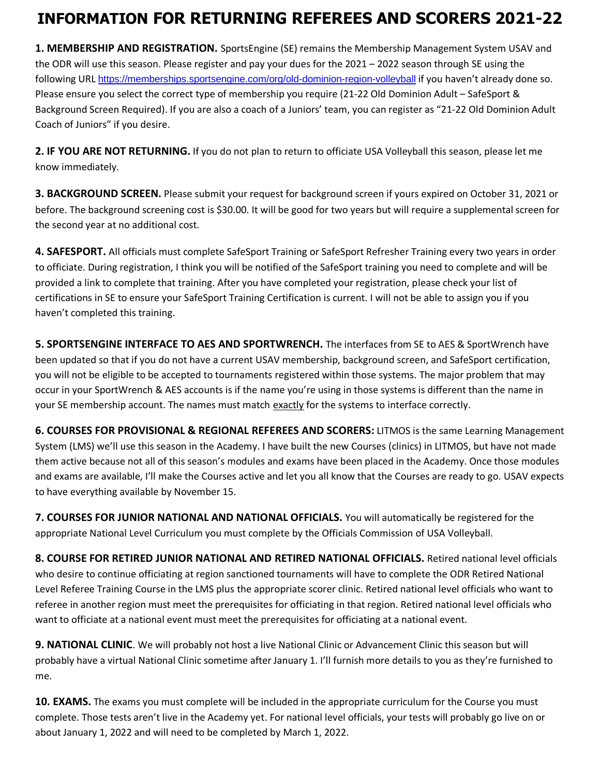## **INFORMATION FOR RETURNING REFEREES AND SCORERS 2021-22**

**1. MEMBERSHIP AND REGISTRATION.** SportsEngine (SE) remains the Membership Management System USAV and the ODR will use this season. Please register and pay your dues for the 2021 – 2022 season through SE using the following URL <https://memberships.sportsengine.com/org/old-dominion-region-volleyball> if you haven't already done so. Please ensure you select the correct type of membership you require (21-22 Old Dominion Adult – SafeSport & Background Screen Required). If you are also a coach of a Juniors' team, you can register as "21-22 Old Dominion Adult Coach of Juniors" if you desire.

**2. IF YOU ARE NOT RETURNING.** If you do not plan to return to officiate USA Volleyball this season, please let me know immediately.

**3. BACKGROUND SCREEN.** Please submit your request for background screen if yours expired on October 31, 2021 or before. The background screening cost is \$30.00. It will be good for two years but will require a supplemental screen for the second year at no additional cost.

**4. SAFESPORT.** All officials must complete SafeSport Training or SafeSport Refresher Training every two years in order to officiate. During registration, I think you will be notified of the SafeSport training you need to complete and will be provided a link to complete that training. After you have completed your registration, please check your list of certifications in SE to ensure your SafeSport Training Certification is current. I will not be able to assign you if you haven't completed this training.

**5. SPORTSENGINE INTERFACE TO AES AND SPORTWRENCH.** The interfaces from SE to AES & SportWrench have been updated so that if you do not have a current USAV membership, background screen, and SafeSport certification, you will not be eligible to be accepted to tournaments registered within those systems. The major problem that may occur in your SportWrench & AES accounts is if the name you're using in those systems is different than the name in your SE membership account. The names must match exactly for the systems to interface correctly.

**6. COURSES FOR PROVISIONAL & REGIONAL REFEREES AND SCORERS:** LITMOS is the same Learning Management System (LMS) we'll use this season in the Academy. I have built the new Courses (clinics) in LITMOS, but have not made them active because not all of this season's modules and exams have been placed in the Academy. Once those modules and exams are available, I'll make the Courses active and let you all know that the Courses are ready to go. USAV expects to have everything available by November 15.

**7. COURSES FOR JUNIOR NATIONAL AND NATIONAL OFFICIALS.** You will automatically be registered for the appropriate National Level Curriculum you must complete by the Officials Commission of USA Volleyball.

**8. COURSE FOR RETIRED JUNIOR NATIONAL AND RETIRED NATIONAL OFFICIALS.** Retired national level officials who desire to continue officiating at region sanctioned tournaments will have to complete the ODR Retired National Level Referee Training Course in the LMS plus the appropriate scorer clinic. Retired national level officials who want to referee in another region must meet the prerequisites for officiating in that region. Retired national level officials who want to officiate at a national event must meet the prerequisites for officiating at a national event.

**9. NATIONAL CLINIC**. We will probably not host a live National Clinic or Advancement Clinic this season but will probably have a virtual National Clinic sometime after January 1. I'll furnish more details to you as they're furnished to me.

**10. EXAMS.** The exams you must complete will be included in the appropriate curriculum for the Course you must complete. Those tests aren't live in the Academy yet. For national level officials, your tests will probably go live on or about January 1, 2022 and will need to be completed by March 1, 2022.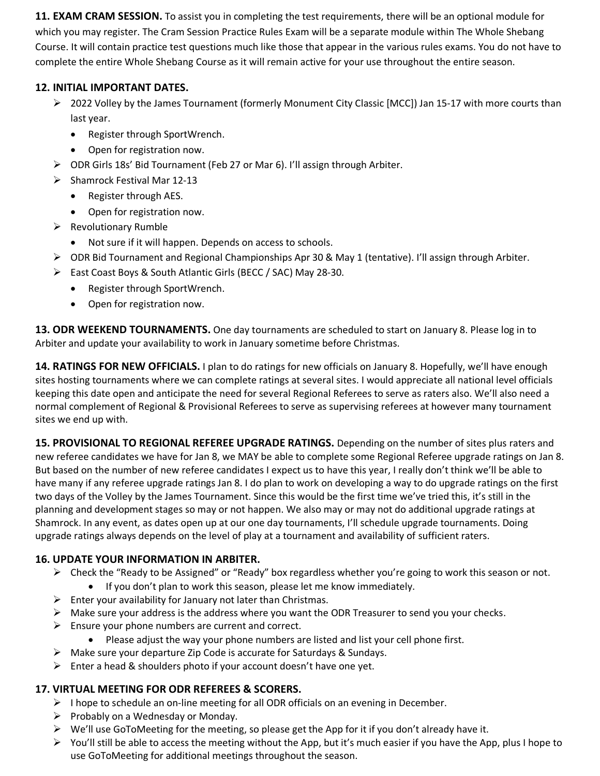**11. EXAM CRAM SESSION.** To assist you in completing the test requirements, there will be an optional module for which you may register. The Cram Session Practice Rules Exam will be a separate module within The Whole Shebang Course. It will contain practice test questions much like those that appear in the various rules exams. You do not have to complete the entire Whole Shebang Course as it will remain active for your use throughout the entire season.

## **12. INITIAL IMPORTANT DATES.**

- ➢ 2022 Volley by the James Tournament (formerly Monument City Classic [MCC]) Jan 15-17 with more courts than last year.
	- Register through SportWrench.
	- Open for registration now.
- ➢ ODR Girls 18s' Bid Tournament (Feb 27 or Mar 6). I'll assign through Arbiter.
- $\triangleright$  Shamrock Festival Mar 12-13
	- Register through AES.
	- Open for registration now.
- ➢ Revolutionary Rumble
	- Not sure if it will happen. Depends on access to schools.
- ➢ ODR Bid Tournament and Regional Championships Apr 30 & May 1 (tentative). I'll assign through Arbiter.
- ➢ East Coast Boys & South Atlantic Girls (BECC / SAC) May 28-30.
	- Register through SportWrench.
	- Open for registration now.

**13. ODR WEEKEND TOURNAMENTS.** One day tournaments are scheduled to start on January 8. Please log in to Arbiter and update your availability to work in January sometime before Christmas.

**14. RATINGS FOR NEW OFFICIALS.** I plan to do ratings for new officials on January 8. Hopefully, we'll have enough sites hosting tournaments where we can complete ratings at several sites. I would appreciate all national level officials keeping this date open and anticipate the need for several Regional Referees to serve as raters also. We'll also need a normal complement of Regional & Provisional Referees to serve as supervising referees at however many tournament sites we end up with.

**15. PROVISIONAL TO REGIONAL REFEREE UPGRADE RATINGS.** Depending on the number of sites plus raters and new referee candidates we have for Jan 8, we MAY be able to complete some Regional Referee upgrade ratings on Jan 8. But based on the number of new referee candidates I expect us to have this year, I really don't think we'll be able to have many if any referee upgrade ratings Jan 8. I do plan to work on developing a way to do upgrade ratings on the first two days of the Volley by the James Tournament. Since this would be the first time we've tried this, it's still in the planning and development stages so may or not happen. We also may or may not do additional upgrade ratings at Shamrock. In any event, as dates open up at our one day tournaments, I'll schedule upgrade tournaments. Doing upgrade ratings always depends on the level of play at a tournament and availability of sufficient raters.

## **16. UPDATE YOUR INFORMATION IN ARBITER.**

- ➢ Check the "Ready to be Assigned" or "Ready" box regardless whether you're going to work this season or not.
	- If you don't plan to work this season, please let me know immediately.
- $\triangleright$  Enter your availability for January not later than Christmas.
- $\triangleright$  Make sure your address is the address where you want the ODR Treasurer to send you your checks.
- $\triangleright$  Ensure your phone numbers are current and correct.
	- Please adjust the way your phone numbers are listed and list your cell phone first.
- ➢ Make sure your departure Zip Code is accurate for Saturdays & Sundays.
- $\triangleright$  Enter a head & shoulders photo if your account doesn't have one yet.

## **17. VIRTUAL MEETING FOR ODR REFEREES & SCORERS.**

- $\triangleright$  I hope to schedule an on-line meeting for all ODR officials on an evening in December.
- ➢ Probably on a Wednesday or Monday.
- ➢ We'll use GoToMeeting for the meeting, so please get the App for it if you don't already have it.
- $\triangleright$  You'll still be able to access the meeting without the App, but it's much easier if you have the App, plus I hope to use GoToMeeting for additional meetings throughout the season.